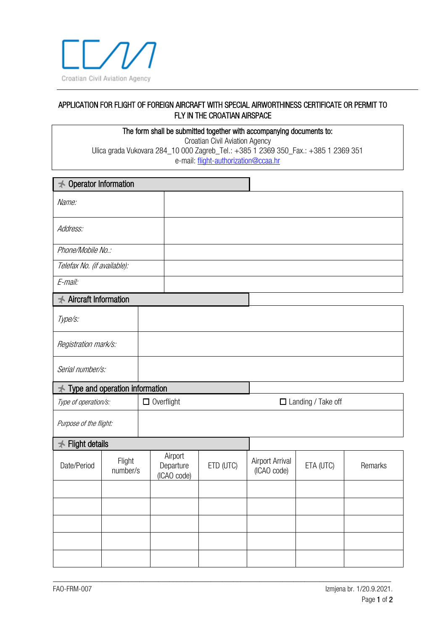

## APPLICATION FOR FLIGHT OF FOREIGN AIRCRAFT WITH SPECIAL AIRWORTHINESS CERTIFICATE OR PERMIT TO FLY IN THE CROATIAN AIRSPACE

The form shall be submitted together with accompanying documents to: Croatian Civil Aviation Agency Ulica grada Vukovara 284\_10 000 Zagreb\_Tel.: +385 1 2369 350\_Fax.: +385 1 2369 351 e-mail: [flight-authorization@ccaa.hr](mailto:flight-authorization@ccaa.hr)

| $\rightarrow$ Operator Information |                    |                   |                                     |           |                                |           |         |
|------------------------------------|--------------------|-------------------|-------------------------------------|-----------|--------------------------------|-----------|---------|
| Name:                              |                    |                   |                                     |           |                                |           |         |
| Address:                           |                    |                   |                                     |           |                                |           |         |
| Phone/Mobile No.:                  |                    |                   |                                     |           |                                |           |         |
| Telefax No. (if available):        |                    |                   |                                     |           |                                |           |         |
| E-mail:                            |                    |                   |                                     |           |                                |           |         |
| <b>★ Aircraft Information</b>      |                    |                   |                                     |           |                                |           |         |
| Type/s:                            |                    |                   |                                     |           |                                |           |         |
| Registration mark/s:               |                    |                   |                                     |           |                                |           |         |
| Serial number/s:                   |                    |                   |                                     |           |                                |           |         |
| Type and operation information     |                    |                   |                                     |           |                                |           |         |
| Type of operation/s:               |                    | $\Box$ Overflight |                                     |           | $\Box$ Landing / Take off      |           |         |
| Purpose of the flight:             |                    |                   |                                     |           |                                |           |         |
| <b>★ Flight details</b>            |                    |                   |                                     |           |                                |           |         |
| Date/Period                        | Flight<br>number/s |                   | Airport<br>Departure<br>(ICAO code) | ETD (UTC) | Airport Arrival<br>(ICAO code) | ETA (UTC) | Remarks |
|                                    |                    |                   |                                     |           |                                |           |         |
|                                    |                    |                   |                                     |           |                                |           |         |
|                                    |                    |                   |                                     |           |                                |           |         |
|                                    |                    |                   |                                     |           |                                |           |         |
|                                    |                    |                   |                                     |           |                                |           |         |

\_\_\_\_\_\_\_\_\_\_\_\_\_\_\_\_\_\_\_\_\_\_\_\_\_\_\_\_\_\_\_\_\_\_\_\_\_\_\_\_\_\_\_\_\_\_\_\_\_\_\_\_\_\_\_\_\_\_\_\_\_\_\_\_\_\_\_\_\_\_\_\_\_\_\_\_\_\_\_\_\_\_\_\_\_\_\_\_\_\_